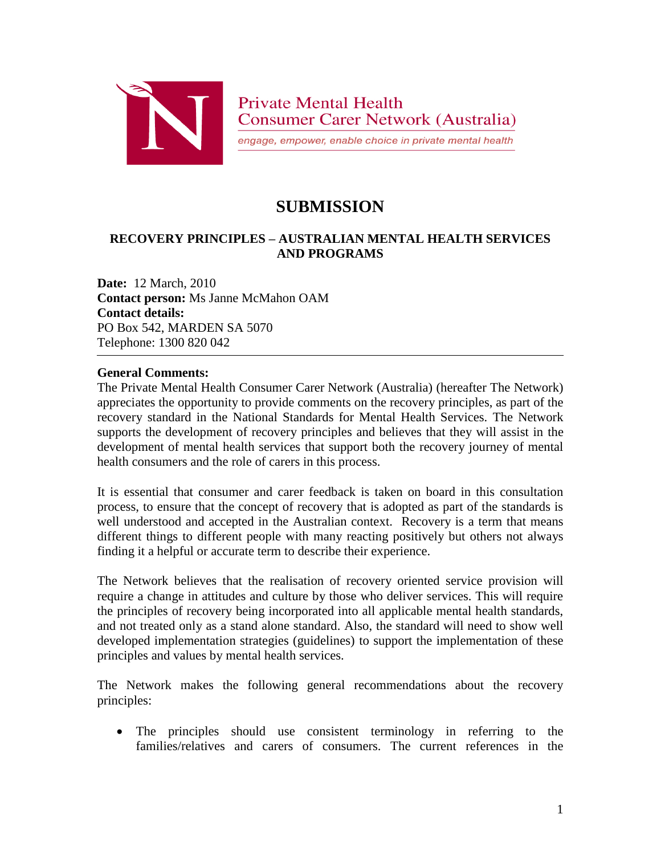

engage, empower, enable choice in private mental health

## **SUBMISSION**

## **RECOVERY PRINCIPLES – AUSTRALIAN MENTAL HEALTH SERVICES AND PROGRAMS**

**Date:** 12 March, 2010 **Contact person:** Ms Janne McMahon OAM **Contact details:** PO Box 542, MARDEN SA 5070 Telephone: 1300 820 042

## **General Comments:**

The Private Mental Health Consumer Carer Network (Australia) (hereafter The Network) appreciates the opportunity to provide comments on the recovery principles, as part of the recovery standard in the National Standards for Mental Health Services. The Network supports the development of recovery principles and believes that they will assist in the development of mental health services that support both the recovery journey of mental health consumers and the role of carers in this process.

It is essential that consumer and carer feedback is taken on board in this consultation process, to ensure that the concept of recovery that is adopted as part of the standards is well understood and accepted in the Australian context. Recovery is a term that means different things to different people with many reacting positively but others not always finding it a helpful or accurate term to describe their experience.

The Network believes that the realisation of recovery oriented service provision will require a change in attitudes and culture by those who deliver services. This will require the principles of recovery being incorporated into all applicable mental health standards, and not treated only as a stand alone standard. Also, the standard will need to show well developed implementation strategies (guidelines) to support the implementation of these principles and values by mental health services.

The Network makes the following general recommendations about the recovery principles:

 The principles should use consistent terminology in referring to the families/relatives and carers of consumers. The current references in the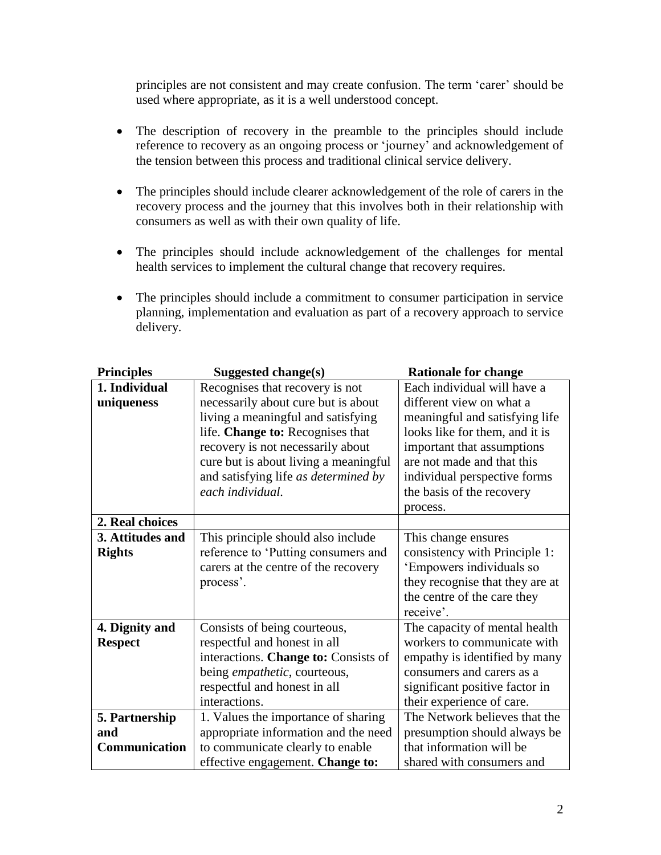principles are not consistent and may create confusion. The term 'carer' should be used where appropriate, as it is a well understood concept.

- The description of recovery in the preamble to the principles should include reference to recovery as an ongoing process or 'journey' and acknowledgement of the tension between this process and traditional clinical service delivery.
- The principles should include clearer acknowledgement of the role of carers in the recovery process and the journey that this involves both in their relationship with consumers as well as with their own quality of life.
- The principles should include acknowledgement of the challenges for mental health services to implement the cultural change that recovery requires.
- The principles should include a commitment to consumer participation in service planning, implementation and evaluation as part of a recovery approach to service delivery.

| <b>Principles</b> | Suggested change(s)                   | <b>Rationale for change</b>     |
|-------------------|---------------------------------------|---------------------------------|
| 1. Individual     | Recognises that recovery is not       | Each individual will have a     |
| uniqueness        | necessarily about cure but is about   | different view on what a        |
|                   | living a meaningful and satisfying    | meaningful and satisfying life  |
|                   | life. Change to: Recognises that      | looks like for them, and it is  |
|                   | recovery is not necessarily about     | important that assumptions      |
|                   | cure but is about living a meaningful | are not made and that this      |
|                   | and satisfying life as determined by  | individual perspective forms    |
|                   | each individual.                      | the basis of the recovery       |
|                   |                                       | process.                        |
| 2. Real choices   |                                       |                                 |
| 3. Attitudes and  | This principle should also include    | This change ensures             |
| <b>Rights</b>     | reference to 'Putting consumers and   | consistency with Principle 1:   |
|                   | carers at the centre of the recovery  | 'Empowers individuals so        |
|                   | process'.                             | they recognise that they are at |
|                   |                                       | the centre of the care they     |
|                   |                                       | receive'.                       |
| 4. Dignity and    | Consists of being courteous,          | The capacity of mental health   |
| <b>Respect</b>    | respectful and honest in all          | workers to communicate with     |
|                   | interactions. Change to: Consists of  | empathy is identified by many   |
|                   | being <i>empathetic</i> , courteous,  | consumers and carers as a       |
|                   | respectful and honest in all          | significant positive factor in  |
|                   | interactions.                         | their experience of care.       |
| 5. Partnership    | 1. Values the importance of sharing   | The Network believes that the   |
| and               | appropriate information and the need  | presumption should always be    |
| Communication     | to communicate clearly to enable      | that information will be        |
|                   | effective engagement. Change to:      | shared with consumers and       |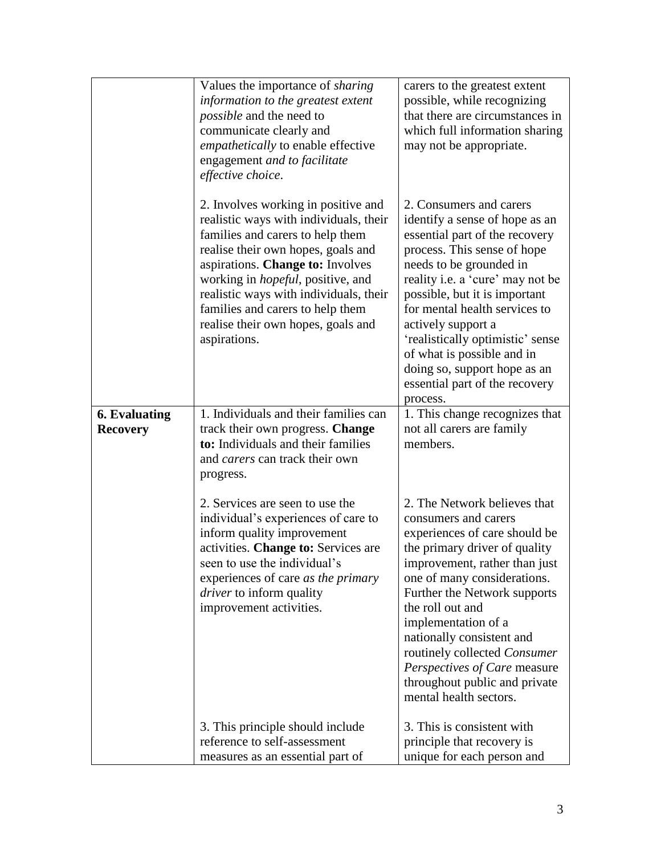|                                         | Values the importance of <i>sharing</i><br>information to the greatest extent<br><i>possible</i> and the need to<br>communicate clearly and<br><i>empathetically</i> to enable effective<br>engagement and to facilitate<br>effective choice.                                                                                                                                | carers to the greatest extent<br>possible, while recognizing<br>that there are circumstances in<br>which full information sharing<br>may not be appropriate.                                                                                                                                                                                                                                                                      |
|-----------------------------------------|------------------------------------------------------------------------------------------------------------------------------------------------------------------------------------------------------------------------------------------------------------------------------------------------------------------------------------------------------------------------------|-----------------------------------------------------------------------------------------------------------------------------------------------------------------------------------------------------------------------------------------------------------------------------------------------------------------------------------------------------------------------------------------------------------------------------------|
|                                         | 2. Involves working in positive and<br>realistic ways with individuals, their<br>families and carers to help them<br>realise their own hopes, goals and<br>aspirations. Change to: Involves<br>working in <i>hopeful</i> , positive, and<br>realistic ways with individuals, their<br>families and carers to help them<br>realise their own hopes, goals and<br>aspirations. | 2. Consumers and carers<br>identify a sense of hope as an<br>essential part of the recovery<br>process. This sense of hope<br>needs to be grounded in<br>reality i.e. a 'cure' may not be<br>possible, but it is important<br>for mental health services to<br>actively support a<br>'realistically optimistic' sense<br>of what is possible and in<br>doing so, support hope as an<br>essential part of the recovery<br>process. |
| <b>6. Evaluating</b><br><b>Recovery</b> | 1. Individuals and their families can<br>track their own progress. <b>Change</b><br>to: Individuals and their families<br>and carers can track their own<br>progress.                                                                                                                                                                                                        | 1. This change recognizes that<br>not all carers are family<br>members.                                                                                                                                                                                                                                                                                                                                                           |
|                                         | 2. Services are seen to use the<br>individual's experiences of care to<br>inform quality improvement<br>activities. Change to: Services are<br>seen to use the individual's<br>experiences of care as the primary<br><i>driver</i> to inform quality<br>improvement activities.                                                                                              | 2. The Network believes that<br>consumers and carers<br>experiences of care should be<br>the primary driver of quality<br>improvement, rather than just<br>one of many considerations.<br>Further the Network supports<br>the roll out and<br>implementation of a<br>nationally consistent and<br>routinely collected Consumer<br>Perspectives of Care measure<br>throughout public and private<br>mental health sectors.         |
|                                         | 3. This principle should include<br>reference to self-assessment<br>measures as an essential part of                                                                                                                                                                                                                                                                         | 3. This is consistent with<br>principle that recovery is<br>unique for each person and                                                                                                                                                                                                                                                                                                                                            |